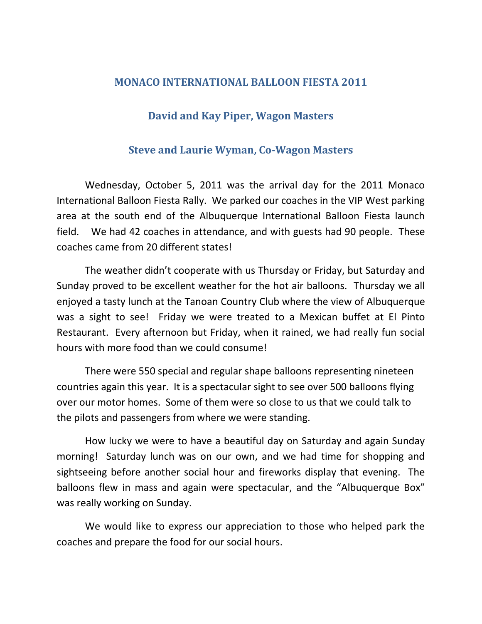## **MONACO INTERNATIONAL BALLOON FIESTA 2011**

## **David and Kay Piper, Wagon Masters**

## **Steve and Laurie Wyman, Co-Wagon Masters**

Wednesday, October 5, 2011 was the arrival day for the 2011 Monaco International Balloon Fiesta Rally. We parked our coaches in the VIP West parking area at the south end of the Albuquerque International Balloon Fiesta launch field. We had 42 coaches in attendance, and with guests had 90 people. These coaches came from 20 different states!

The weather didn't cooperate with us Thursday or Friday, but Saturday and Sunday proved to be excellent weather for the hot air balloons. Thursday we all enjoyed a tasty lunch at the Tanoan Country Club where the view of Albuquerque was a sight to see! Friday we were treated to a Mexican buffet at El Pinto Restaurant. Every afternoon but Friday, when it rained, we had really fun social hours with more food than we could consume!

There were 550 special and regular shape balloons representing nineteen countries again this year. It is a spectacular sight to see over 500 balloons flying over our motor homes. Some of them were so close to us that we could talk to the pilots and passengers from where we were standing.

How lucky we were to have a beautiful day on Saturday and again Sunday morning! Saturday lunch was on our own, and we had time for shopping and sightseeing before another social hour and fireworks display that evening. The balloons flew in mass and again were spectacular, and the "Albuquerque Box" was really working on Sunday.

We would like to express our appreciation to those who helped park the coaches and prepare the food for our social hours.